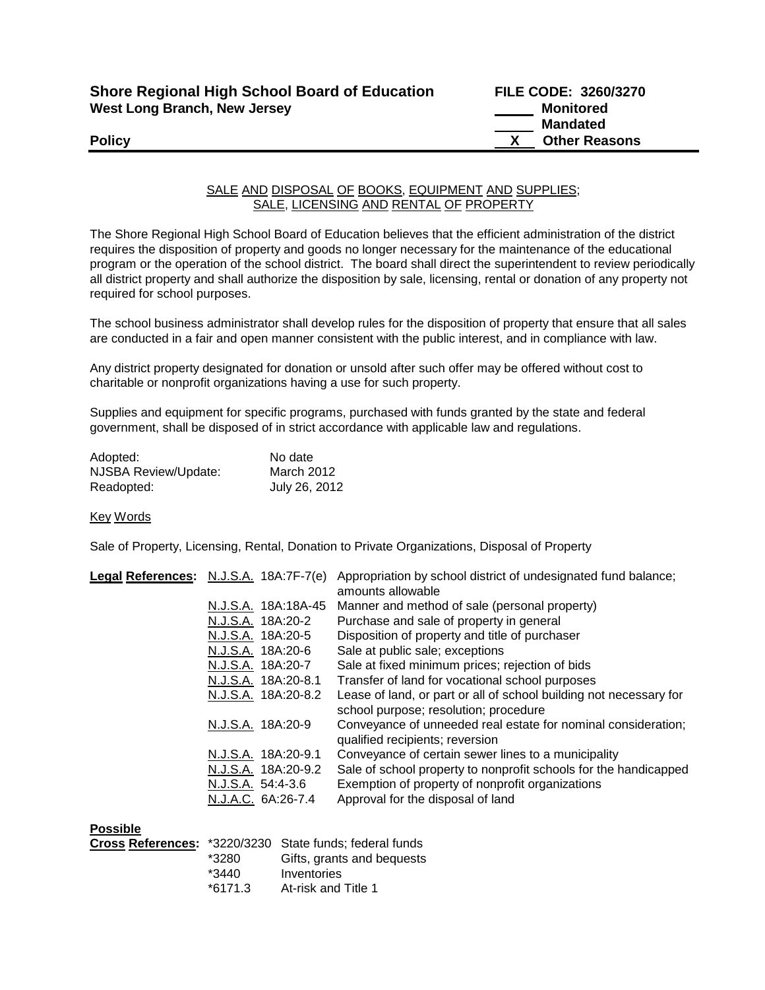| <b>Shore Regional High School Board of Education</b> |  |
|------------------------------------------------------|--|
| <b>West Long Branch, New Jersey</b>                  |  |

## SALE AND DISPOSAL OF BOOKS, EQUIPMENT AND SUPPLIES; SALE, LICENSING AND RENTAL OF PROPERTY

The Shore Regional High School Board of Education believes that the efficient administration of the district requires the disposition of property and goods no longer necessary for the maintenance of the educational program or the operation of the school district. The board shall direct the superintendent to review periodically all district property and shall authorize the disposition by sale, licensing, rental or donation of any property not required for school purposes.

The school business administrator shall develop rules for the disposition of property that ensure that all sales are conducted in a fair and open manner consistent with the public interest, and in compliance with law.

Any district property designated for donation or unsold after such offer may be offered without cost to charitable or nonprofit organizations having a use for such property.

Supplies and equipment for specific programs, purchased with funds granted by the state and federal government, shall be disposed of in strict accordance with applicable law and regulations.

| Adopted:             | No date       |
|----------------------|---------------|
| NJSBA Review/Update: | March 2012    |
| Readopted:           | July 26, 2012 |

## Key Words

Sale of Property, Licensing, Rental, Donation to Private Organizations, Disposal of Property

| Legal References: N.J.S.A. 18A:7F-7(e)                         | Appropriation by school district of undesignated fund balance;<br>amounts allowable                                                                       |
|----------------------------------------------------------------|-----------------------------------------------------------------------------------------------------------------------------------------------------------|
| N.J.S.A. 18A:18A-45                                            | Manner and method of sale (personal property)                                                                                                             |
| N.J.S.A. 18A:20-2                                              | Purchase and sale of property in general                                                                                                                  |
| N.J.S.A. 18A:20-5                                              | Disposition of property and title of purchaser                                                                                                            |
| N.J.S.A. 18A:20-6                                              | Sale at public sale; exceptions                                                                                                                           |
| N.J.S.A. 18A:20-7                                              | Sale at fixed minimum prices; rejection of bids                                                                                                           |
| N.J.S.A. 18A:20-8.1                                            | Transfer of land for vocational school purposes                                                                                                           |
| N.J.S.A. 18A:20-8.2                                            | Lease of land, or part or all of school building not necessary for<br>school purpose; resolution; procedure                                               |
| N.J.S.A. 18A:20-9                                              | Conveyance of unneeded real estate for nominal consideration;<br>qualified recipients; reversion                                                          |
| N.J.S.A. 18A:20-9.1                                            | Conveyance of certain sewer lines to a municipality                                                                                                       |
| N.J.S.A. 18A:20-9.2<br>N.J.S.A. 54:4-3.6<br>N.J.A.C. 6A:26-7.4 | Sale of school property to nonprofit schools for the handicapped<br>Exemption of property of nonprofit organizations<br>Approval for the disposal of land |
|                                                                |                                                                                                                                                           |

| <b>Possible</b> |         |                                                                |
|-----------------|---------|----------------------------------------------------------------|
|                 |         | <b>Cross References:</b> *3220/3230 State funds; federal funds |
|                 | *3280   | Gifts, grants and bequests                                     |
|                 | $*3440$ | Inventories                                                    |
|                 | *6171.3 | At-risk and Title 1                                            |